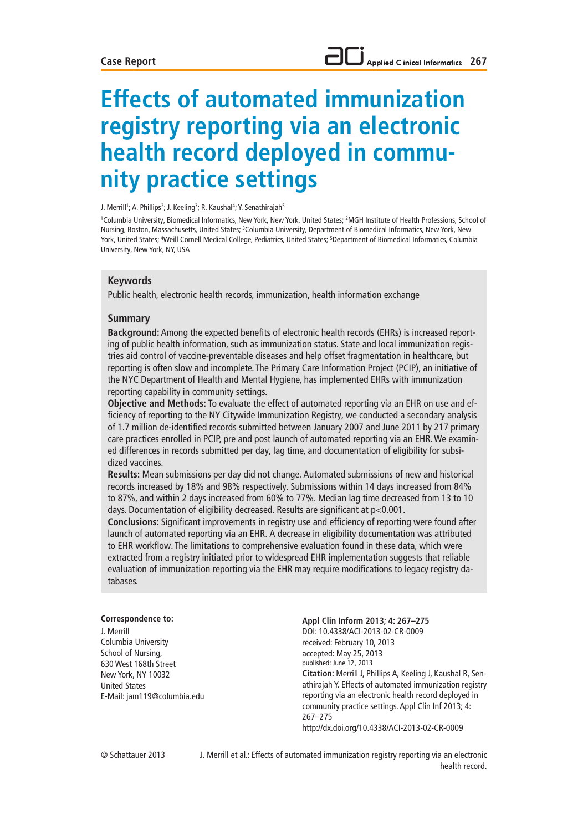# **Effects of automated immunization registry reporting via an electronic health record deployed in community practice settings**

J. Merrill<sup>1</sup>; A. Phillips<sup>2</sup>; J. Keeling<sup>3</sup>; R. Kaushal<sup>4</sup>; Y. Senathirajah<sup>5</sup>

<sup>1</sup>Columbia University, Biomedical Informatics, New York, New York, United States; <sup>2</sup>MGH Institute of Health Professions, School of Nursing, Boston, Massachusetts, United States; <sup>3</sup>Columbia University, Department of Biomedical Informatics, New York, New York, United States; 4 Weill Cornell Medical College, Pediatrics, United States; 5 Department of Biomedical Informatics, Columbia University, New York, NY, USA

#### **Keywords**

Public health, electronic health records, immunization, health information exchange

#### **Summary**

**Background:** Among the expected benefits of electronic health records (EHRs) is increased reporting of public health information, such as immunization status. State and local immunization registries aid control of vaccine-preventable diseases and help offset fragmentation in healthcare, but reporting is often slow and incomplete. The Primary Care Information Project (PCIP), an initiative of the NYC Department of Health and Mental Hygiene, has implemented EHRs with immunization reporting capability in community settings.

**Objective and Methods:** To evaluate the effect of automated reporting via an EHR on use and efficiency of reporting to the NY Citywide Immunization Registry, we conducted a secondary analysis of 1.7 million de-identified records submitted between January 2007 and June 2011 by 217 primary care practices enrolled in PCIP, pre and post launch of automated reporting via an EHR. We examined differences in records submitted per day, lag time, and documentation of eligibility for subsidized vaccines.

**Results:** Mean submissions per day did not change. Automated submissions of new and historical records increased by 18% and 98% respectively. Submissions within 14 days increased from 84% to 87%, and within 2 days increased from 60% to 77%. Median lag time decreased from 13 to 10 days. Documentation of eligibility decreased. Results are significant at p<0.001.

**Conclusions:** Significant improvements in registry use and efficiency of reporting were found after launch of automated reporting via an EHR. A decrease in eligibility documentation was attributed to EHR workflow. The limitations to comprehensive evaluation found in these data, which were extracted from a registry initiated prior to widespread EHR implementation suggests that reliable evaluation of immunization reporting via the EHR may require modifications to legacy registry databases.

#### **Correspondence to:**

J. Merrill Columbia University School of Nursing, 630 West 168th Street New York, NY 10032 United States E-Mail: jam119@columbia.edu **Appl Clin Inform 2013; 4: 267–275** DOI: 10.4338/ACI-2013-02-CR-0009 received: February 10, 2013 accepted: May 25, 2013 published: June 12, 2013 **Citation:** Merrill J, Phillips A, Keeling J, Kaushal R, Senathirajah Y. Effects of automated immunization registry reporting via an electronic health record deployed in community practice settings. Appl Clin Inf 2013; 4: 267–275 http://dx.doi.org/10.4338/ACI-2013-02-CR-0009

© Schattauer 2013

J. Merrill et al.: Effects of automated immunization registry reporting via an electronic health record.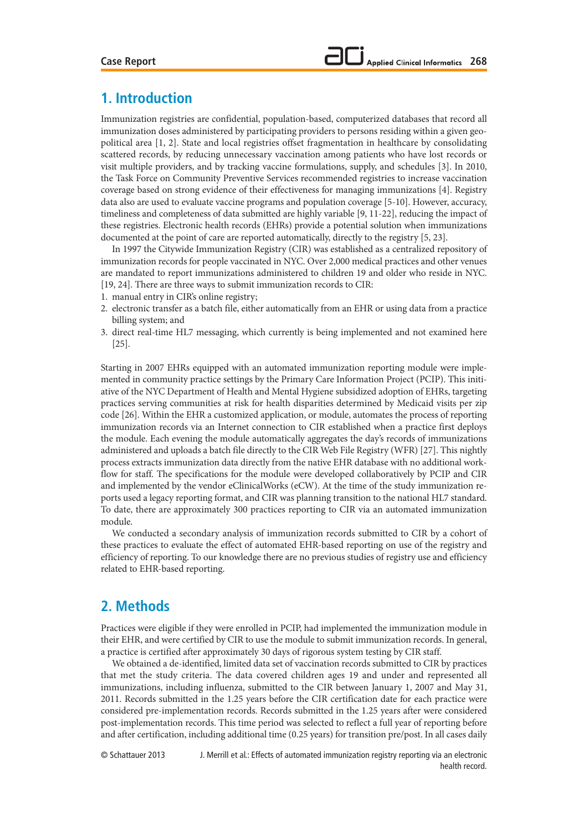## **1. Introduction**

Immunization registries are confidential, population-based, computerized databases that record all immunization doses administered by participating providers to persons residing within a given geopolitical area [1, 2]. State and local registries offset fragmentation in healthcare by consolidating scattered records, by reducing unnecessary vaccination among patients who have lost records or visit multiple providers, and by tracking vaccine formulations, supply, and schedules [3]. In 2010, the Task Force on Community Preventive Services recommended registries to increase vaccination coverage based on strong evidence of their effectiveness for managing immunizations [4]. Registry data also are used to evaluate vaccine programs and population coverage [5-10]. However, accuracy, timeliness and completeness of data submitted are highly variable [9, 11-22], reducing the impact of these registries. Electronic health records (EHRs) provide a potential solution when immunizations documented at the point of care are reported automatically, directly to the registry [5, 23].

In 1997 the Citywide Immunization Registry (CIR) was established as a centralized repository of immunization records for people vaccinated in NYC. Over 2,000 medical practices and other venues are mandated to report immunizations administered to children 19 and older who reside in NYC. [19, 24]. There are three ways to submit immunization records to CIR:

- 1. manual entry in CIR's online registry;
- 2. electronic transfer as a batch file, either automatically from an EHR or using data from a practice billing system; and
- 3. direct real-time HL7 messaging, which currently is being implemented and not examined here [25].

Starting in 2007 EHRs equipped with an automated immunization reporting module were implemented in community practice settings by the Primary Care Information Project (PCIP). This initiative of the NYC Department of Health and Mental Hygiene subsidized adoption of EHRs, targeting practices serving communities at risk for health disparities determined by Medicaid visits per zip code [26]. Within the EHR a customized application, or module, automates the process of reporting immunization records via an Internet connection to CIR established when a practice first deploys the module. Each evening the module automatically aggregates the day's records of immunizations administered and uploads a batch file directly to the CIR Web File Registry (WFR) [27]. This nightly process extracts immunization data directly from the native EHR database with no additional workflow for staff. The specifications for the module were developed collaboratively by PCIP and CIR and implemented by the vendor eClinicalWorks (eCW). At the time of the study immunization reports used a legacy reporting format, and CIR was planning transition to the national HL7 standard. To date, there are approximately 300 practices reporting to CIR via an automated immunization module.

We conducted a secondary analysis of immunization records submitted to CIR by a cohort of these practices to evaluate the effect of automated EHR-based reporting on use of the registry and efficiency of reporting. To our knowledge there are no previous studies of registry use and efficiency related to EHR-based reporting.

## **2. Methods**

Practices were eligible if they were enrolled in PCIP, had implemented the immunization module in their EHR, and were certified by CIR to use the module to submit immunization records. In general, a practice is certified after approximately 30 days of rigorous system testing by CIR staff.

We obtained a de-identified, limited data set of vaccination records submitted to CIR by practices that met the study criteria. The data covered children ages 19 and under and represented all immunizations, including influenza, submitted to the CIR between January 1, 2007 and May 31, 2011. Records submitted in the 1.25 years before the CIR certification date for each practice were considered pre-implementation records. Records submitted in the 1.25 years after were considered post-implementation records. This time period was selected to reflect a full year of reporting before and after certification, including additional time (0.25 years) for transition pre/post. In all cases daily

© Schattauer 2013

J. Merrill et al.: Effects of automated immunization registry reporting via an electronic health record.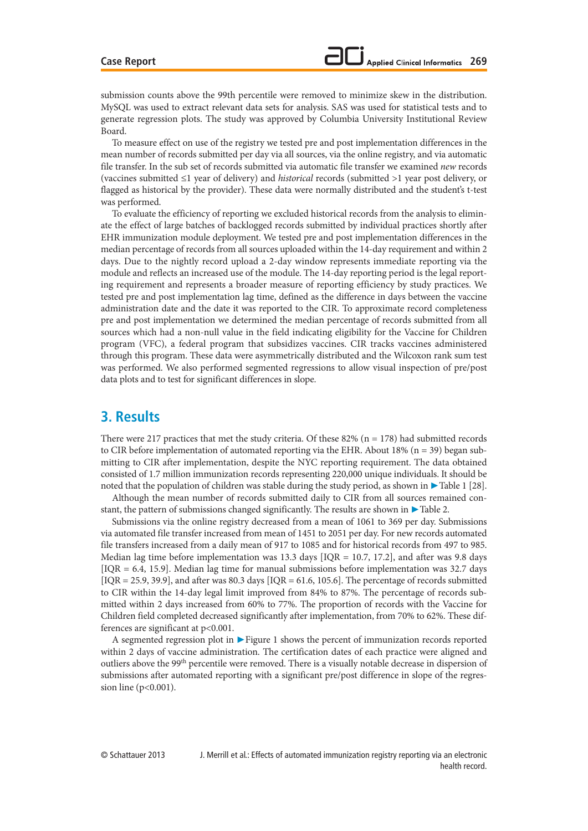submission counts above the 99th percentile were removed to minimize skew in the distribution. MySQL was used to extract relevant data sets for analysis. SAS was used for statistical tests and to generate regression plots. The study was approved by Columbia University Institutional Review Board.

To measure effect on use of the registry we tested pre and post implementation differences in the mean number of records submitted per day via all sources, via the online registry, and via automatic file transfer. In the sub set of records submitted via automatic file transfer we examined *new* records (vaccines submitted ≤1 year of delivery) and *historical* records (submitted >1 year post delivery, or flagged as historical by the provider). These data were normally distributed and the student's t-test was performed.

To evaluate the efficiency of reporting we excluded historical records from the analysis to eliminate the effect of large batches of backlogged records submitted by individual practices shortly after EHR immunization module deployment. We tested pre and post implementation differences in the median percentage of records from all sources uploaded within the 14-day requirement and within 2 days. Due to the nightly record upload a 2-day window represents immediate reporting via the module and reflects an increased use of the module. The 14-day reporting period is the legal reporting requirement and represents a broader measure of reporting efficiency by study practices. We tested pre and post implementation lag time, defined as the difference in days between the vaccine administration date and the date it was reported to the CIR. To approximate record completeness pre and post implementation we determined the median percentage of records submitted from all sources which had a non-null value in the field indicating eligibility for the Vaccine for Children program (VFC), a federal program that subsidizes vaccines. CIR tracks vaccines administered through this program. These data were asymmetrically distributed and the Wilcoxon rank sum test was performed. We also performed segmented regressions to allow visual inspection of pre/post data plots and to test for significant differences in slope.

## **3. Results**

There were 217 practices that met the study criteria. Of these 82% ( $n = 178$ ) had submitted records to CIR before implementation of automated reporting via the EHR. About 18% ( $n = 39$ ) began submitting to CIR after implementation, despite the NYC reporting requirement. The data obtained consisted of 1.7 million immunization records representing 220,000 unique individuals. It should be noted that the population of children was stable during the study period, as shown in ▶ [Table 1](#page-6-0) [28].

Although the mean number of records submitted daily to CIR from all sources remained constant, the pattern of submissions changed significantly. The results are shown in  $\blacktriangleright$  [Table 2](#page-6-1).

Submissions via the online registry decreased from a mean of 1061 to 369 per day. Submissions via automated file transfer increased from mean of 1451 to 2051 per day. For new records automated file transfers increased from a daily mean of 917 to 1085 and for historical records from 497 to 985. Median lag time before implementation was 13.3 days [IQR =  $10.7$ , 17.2], and after was 9.8 days [IQR = 6.4, 15.9]. Median lag time for manual submissions before implementation was 32.7 days [IQR = 25.9, 39.9], and after was 80.3 days [IQR = 61.6, 105.6]. The percentage of records submitted to CIR within the 14-day legal limit improved from 84% to 87%. The percentage of records submitted within 2 days increased from 60% to 77%. The proportion of records with the Vaccine for Children field completed decreased significantly after implementation, from 70% to 62%. These differences are significant at p<0.001.

A segmented regression plot in  $\blacktriangleright$  Figure 1 shows the percent of immunization records reported within 2 days of vaccine administration. The certification dates of each practice were aligned and outliers above the 99<sup>th</sup> percentile were removed. There is a visually notable decrease in dispersion of submissions after automated reporting with a significant pre/post difference in slope of the regression line ( $p<0.001$ ).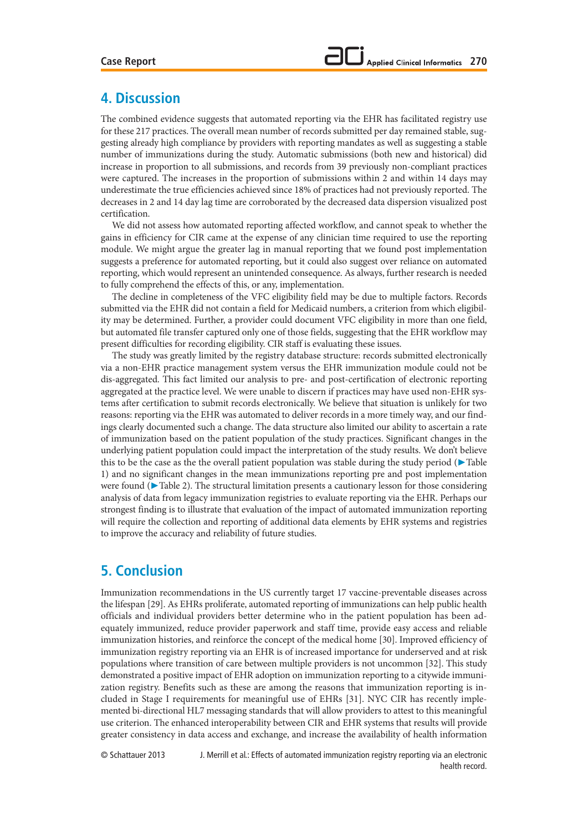## **4. Discussion**

The combined evidence suggests that automated reporting via the EHR has facilitated registry use for these 217 practices. The overall mean number of records submitted per day remained stable, suggesting already high compliance by providers with reporting mandates as well as suggesting a stable number of immunizations during the study. Automatic submissions (both new and historical) did increase in proportion to all submissions, and records from 39 previously non-compliant practices were captured. The increases in the proportion of submissions within 2 and within 14 days may underestimate the true efficiencies achieved since 18% of practices had not previously reported. The decreases in 2 and 14 day lag time are corroborated by the decreased data dispersion visualized post certification.

We did not assess how automated reporting affected workflow, and cannot speak to whether the gains in efficiency for CIR came at the expense of any clinician time required to use the reporting module. We might argue the greater lag in manual reporting that we found post implementation suggests a preference for automated reporting, but it could also suggest over reliance on automated reporting, which would represent an unintended consequence. As always, further research is needed to fully comprehend the effects of this, or any, implementation.

The decline in completeness of the VFC eligibility field may be due to multiple factors. Records submitted via the EHR did not contain a field for Medicaid numbers, a criterion from which eligibility may be determined. Further, a provider could document VFC eligibility in more than one field, but automated file transfer captured only one of those fields, suggesting that the EHR workflow may present difficulties for recording eligibility. CIR staff is evaluating these issues.

The study was greatly limited by the registry database structure: records submitted electronically via a non-EHR practice management system versus the EHR immunization module could not be dis-aggregated. This fact limited our analysis to pre- and post-certification of electronic reporting aggregated at the practice level. We were unable to discern if practices may have used non-EHR systems after certification to submit records electronically. We believe that situation is unlikely for two reasons: reporting via the EHR was automated to deliver records in a more timely way, and our findings clearly documented such a change. The data structure also limited our ability to ascertain a rate of immunization based on the patient population of the study practices. Significant changes in the underlying patient population could impact the interpretation of the study results. We don't believe this to be the case as the the overall patient population was stable during the study period ( $\blacktriangleright$  Table [1\)](#page-6-0) and no significant changes in the mean immunizations reporting pre and post implementation were found ( $\blacktriangleright$  [Table 2](#page-6-1)). The structural limitation presents a cautionary lesson for those considering analysis of data from legacy immunization registries to evaluate reporting via the EHR. Perhaps our strongest finding is to illustrate that evaluation of the impact of automated immunization reporting will require the collection and reporting of additional data elements by EHR systems and registries to improve the accuracy and reliability of future studies.

## **5. Conclusion**

Immunization recommendations in the US currently target 17 vaccine-preventable diseases across the lifespan [29]. As EHRs proliferate, automated reporting of immunizations can help public health officials and individual providers better determine who in the patient population has been adequately immunized, reduce provider paperwork and staff time, provide easy access and reliable immunization histories, and reinforce the concept of the medical home [30]. Improved efficiency of immunization registry reporting via an EHR is of increased importance for underserved and at risk populations where transition of care between multiple providers is not uncommon [32]. This study demonstrated a positive impact of EHR adoption on immunization reporting to a citywide immunization registry. Benefits such as these are among the reasons that immunization reporting is included in Stage I requirements for meaningful use of EHRs [31]. NYC CIR has recently implemented bi-directional HL7 messaging standards that will allow providers to attest to this meaningful use criterion. The enhanced interoperability between CIR and EHR systems that results will provide greater consistency in data access and exchange, and increase the availability of health information

© Schattauer 2013

J. Merrill et al.: Effects of automated immunization registry reporting via an electronic health record.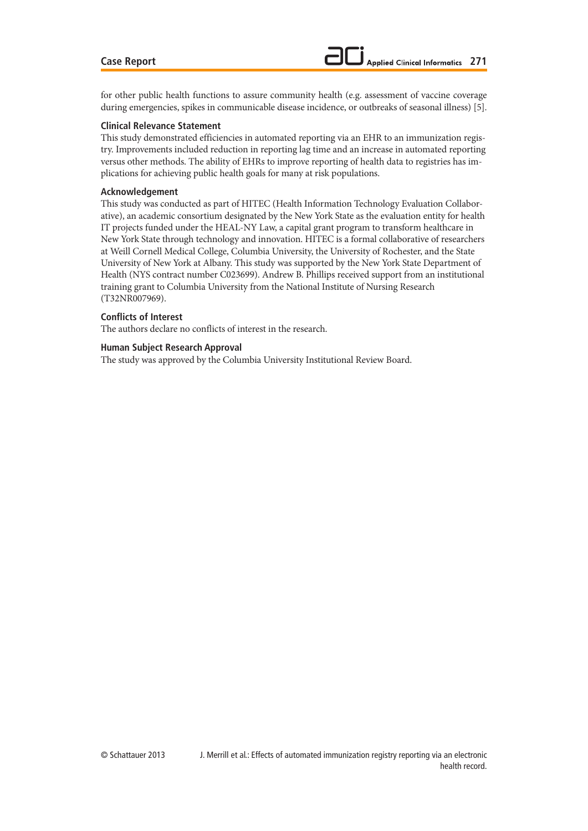for other public health functions to assure community health (e.g. assessment of vaccine coverage during emergencies, spikes in communicable disease incidence, or outbreaks of seasonal illness) [5].

#### **Clinical Relevance Statement**

This study demonstrated efficiencies in automated reporting via an EHR to an immunization registry. Improvements included reduction in reporting lag time and an increase in automated reporting versus other methods. The ability of EHRs to improve reporting of health data to registries has implications for achieving public health goals for many at risk populations.

#### **Acknowledgement**

This study was conducted as part of HITEC (Health Information Technology Evaluation Collaborative), an academic consortium designated by the New York State as the evaluation entity for health IT projects funded under the HEAL-NY Law, a capital grant program to transform healthcare in New York State through technology and innovation. HITEC is a formal collaborative of researchers at Weill Cornell Medical College, Columbia University, the University of Rochester, and the State University of New York at Albany. This study was supported by the New York State Department of Health (NYS contract number C023699). Andrew B. Phillips received support from an institutional training grant to Columbia University from the National Institute of Nursing Research (T32NR007969).

#### **Conflicts of Interest**

The authors declare no conflicts of interest in the research.

#### **Human Subject Research Approval**

The study was approved by the Columbia University Institutional Review Board.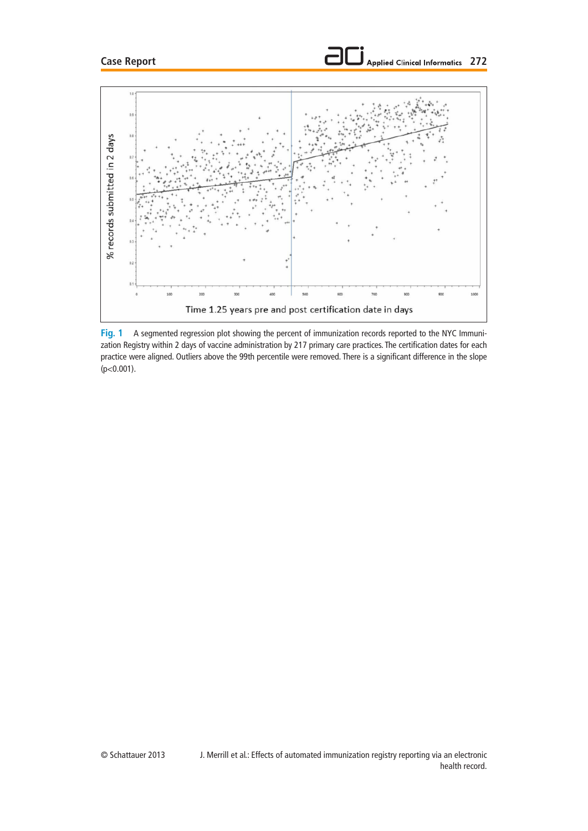

<span id="page-5-0"></span>Fig. 1 A segmented regression plot showing the percent of immunization records reported to the NYC Immunization Registry within 2 days of vaccine administration by 217 primary care practices. The certification dates for each practice were aligned. Outliers above the 99th percentile were removed. There is a significant difference in the slope  $(p<0.001)$ .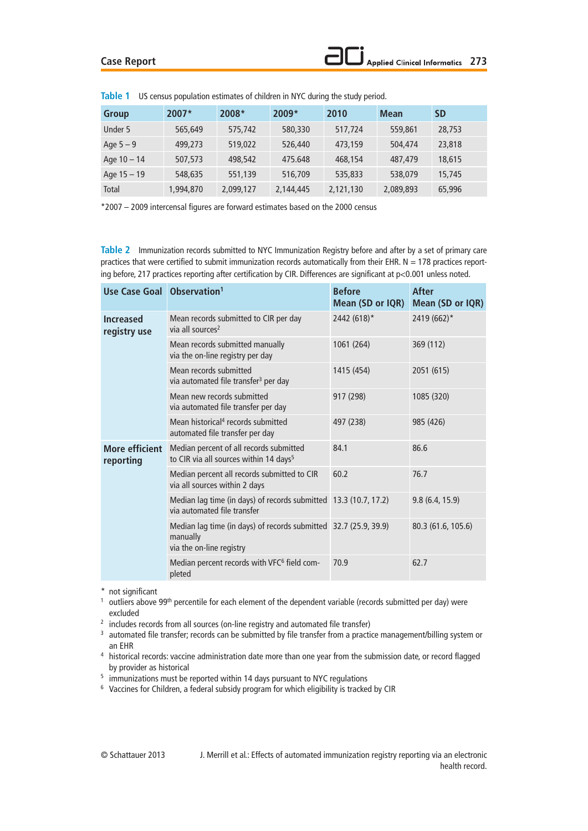|  | Applied Clinical Informatics 273 |  |
|--|----------------------------------|--|
|  |                                  |  |

| <b>Group</b>  | $2007*$   | 2008*     | $2009*$   | 2010      | Mean      | <b>SD</b> |
|---------------|-----------|-----------|-----------|-----------|-----------|-----------|
| Under 5       | 565,649   | 575,742   | 580,330   | 517,724   | 559,861   | 28,753    |
| Age $5-9$     | 499,273   | 519,022   | 526,440   | 473,159   | 504,474   | 23,818    |
| Age $10 - 14$ | 507,573   | 498,542   | 475.648   | 468,154   | 487,479   | 18,615    |
| Age $15 - 19$ | 548,635   | 551,139   | 516,709   | 535,833   | 538,079   | 15,745    |
| Total         | 1,994,870 | 2,099,127 | 2,144,445 | 2,121,130 | 2,089,893 | 65,996    |

<span id="page-6-0"></span>**Table 1** US census population estimates of children in NYC during the study period.

\*2007 – 2009 intercensal figures are forward estimates based on the 2000 census

<span id="page-6-1"></span>**Table 2** Immunization records submitted to NYC Immunization Registry before and after by a set of primary care practices that were certified to submit immunization records automatically from their EHR.  $N = 178$  practices reporting before, 217 practices reporting after certification by CIR. Differences are significant at p<0.001 unless noted.

| Use Case Goal Observation <sup>1</sup> |                                                                                                          | <b>Before</b><br>Mean (SD or IQR) | <b>After</b><br>Mean (SD or IQR) |
|----------------------------------------|----------------------------------------------------------------------------------------------------------|-----------------------------------|----------------------------------|
| <b>Increased</b><br>registry use       | Mean records submitted to CIR per day<br>via all sources <sup>2</sup>                                    | 2442 (618)*                       | 2419 (662)*                      |
|                                        | Mean records submitted manually<br>via the on-line registry per day                                      | 1061 (264)                        | 369 (112)                        |
|                                        | Mean records submitted<br>via automated file transfer <sup>3</sup> per day                               | 1415 (454)                        | 2051 (615)                       |
|                                        | Mean new records submitted<br>via automated file transfer per day                                        | 917 (298)                         | 1085 (320)                       |
|                                        | Mean historical <sup>4</sup> records submitted<br>automated file transfer per day                        | 497 (238)                         | 985 (426)                        |
| More efficient<br>reporting            | Median percent of all records submitted<br>to CIR via all sources within 14 days <sup>5</sup>            | 84.1                              | 86.6                             |
|                                        | Median percent all records submitted to CIR<br>via all sources within 2 days                             | 60.2                              | 76.7                             |
|                                        | Median lag time (in days) of records submitted 13.3 (10.7, 17.2)<br>via automated file transfer          |                                   | 9.8(6.4, 15.9)                   |
|                                        | Median lag time (in days) of records submitted 32.7 (25.9, 39.9)<br>manually<br>via the on-line registry |                                   | 80.3 (61.6, 105.6)               |
|                                        | Median percent records with VFC <sup>6</sup> field com-<br>pleted                                        | 70.9                              | 62.7                             |

\* not significant

 $1$  outliers above 99<sup>th</sup> percentile for each element of the dependent variable (records submitted per day) were excluded

<sup>2</sup> includes records from all sources (on-line registry and automated file transfer)<br> $\frac{3}{2}$  automated file transfer: records can be submitted by file transfer from a practi-

automated file transfer; records can be submitted by file transfer from a practice management/billing system or an EHR

4 historical records: vaccine administration date more than one year from the submission date, or record flagged by provider as historical

<sup>5</sup> immunizations must be reported within 14 days pursuant to NYC regulations

6 Vaccines for Children, a federal subsidy program for which eligibility is tracked by CIR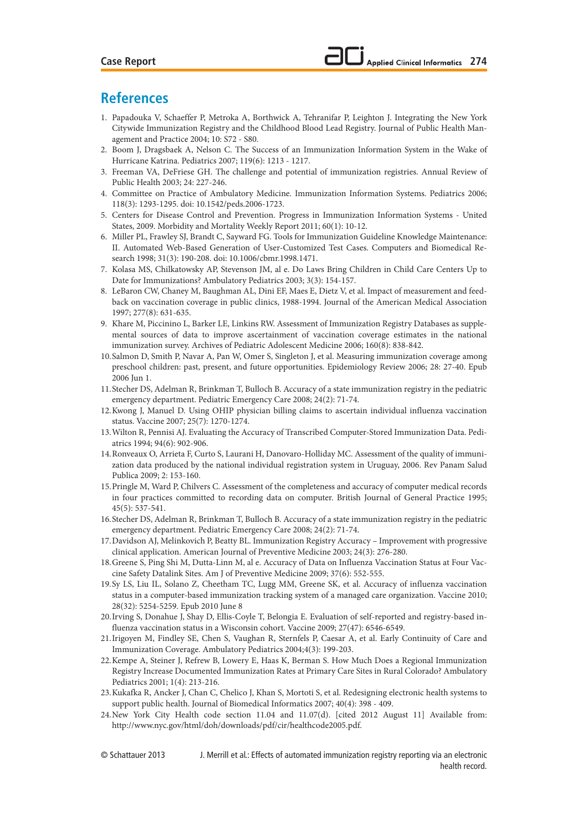## **References**

- 1. Papadouka V, Schaeffer P, Metroka A, Borthwick A, Tehranifar P, Leighton J. Integrating the New York Citywide Immunization Registry and the Childhood Blood Lead Registry. Journal of Public Health Management and Practice 2004; 10: S72 - S80.
- 2. Boom J, Dragsbaek A, Nelson C. The Success of an Immunization Information System in the Wake of Hurricane Katrina. Pediatrics 2007; 119(6): 1213 - 1217.
- 3. Freeman VA, DeFriese GH. The challenge and potential of immunization registries. Annual Review of Public Health 2003; 24: 227-246.
- 4. Committee on Practice of Ambulatory Medicine. Immunization Information Systems. Pediatrics 2006; 118(3): 1293-1295. doi: 10.1542/peds.2006-1723.
- 5. Centers for Disease Control and Prevention. Progress in Immunization Information Systems United States, 2009. Morbidity and Mortality Weekly Report 2011; 60(1): 10-12.
- 6. Miller PL, Frawley SJ, Brandt C, Sayward FG. Tools for Immunization Guideline Knowledge Maintenance: II. Automated Web-Based Generation of User-Customized Test Cases. Computers and Biomedical Research 1998; 31(3): 190-208. doi: 10.1006/cbmr.1998.1471.
- 7. Kolasa MS, Chilkatowsky AP, Stevenson JM, al e. Do Laws Bring Children in Child Care Centers Up to Date for Immunizations? Ambulatory Pediatrics 2003; 3(3): 154-157.
- 8. LeBaron CW, Chaney M, Baughman AL, Dini EF, Maes E, Dietz V, et al. Impact of measurement and feedback on vaccination coverage in public clinics, 1988-1994. Journal of the American Medical Association 1997; 277(8): 631-635.
- 9. Khare M, Piccinino L, Barker LE, Linkins RW. Assessment of Immunization Registry Databases as supplemental sources of data to improve ascertainment of vaccination coverage estimates in the national immunization survey. Archives of Pediatric Adolescent Medicine 2006; 160(8): 838-842.
- 10.Salmon D, Smith P, Navar A, Pan W, Omer S, Singleton J, et al. Measuring immunization coverage among preschool children: past, present, and future opportunities. Epidemiology Review 2006; 28: 27-40. Epub 2006 Jun 1.
- 11.Stecher DS, Adelman R, Brinkman T, Bulloch B. Accuracy of a state immunization registry in the pediatric emergency department. Pediatric Emergency Care 2008; 24(2): 71-74.
- 12.Kwong J, Manuel D. Using OHIP physician billing claims to ascertain individual influenza vaccination status. Vaccine 2007; 25(7): 1270-1274.
- 13.Wilton R, Pennisi AJ. Evaluating the Accuracy of Transcribed Computer-Stored Immunization Data. Pediatrics 1994; 94(6): 902-906.
- 14.Ronveaux O, Arrieta F, Curto S, Laurani H, Danovaro-Holliday MC. Assessment of the quality of immunization data produced by the national individual registration system in Uruguay, 2006. Rev Panam Salud Publica 2009; 2: 153-160.
- 15.Pringle M, Ward P, Chilvers C. Assessment of the completeness and accuracy of computer medical records in four practices committed to recording data on computer. British Journal of General Practice 1995; 45(5): 537-541.
- 16.Stecher DS, Adelman R, Brinkman T, Bulloch B. Accuracy of a state immunization registry in the pediatric emergency department. Pediatric Emergency Care 2008; 24(2): 71-74.
- 17.Davidson AJ, Melinkovich P, Beatty BL. Immunization Registry Accuracy Improvement with progressive clinical application. American Journal of Preventive Medicine 2003; 24(3): 276-280.
- 18.Greene S, Ping Shi M, Dutta-Linn M, al e. Accuracy of Data on Influenza Vaccination Status at Four Vaccine Safety Datalink Sites. Am J of Preventive Medicine 2009; 37(6): 552-555.
- 19.Sy LS, Liu IL, Solano Z, Cheetham TC, Lugg MM, Greene SK, et al. Accuracy of influenza vaccination status in a computer-based immunization tracking system of a managed care organization. Vaccine 2010; 28(32): 5254-5259. Epub 2010 June 8
- 20.Irving S, Donahue J, Shay D, Ellis-Coyle T, Belongia E. Evaluation of self-reported and registry-based influenza vaccination status in a Wisconsin cohort. Vaccine 2009; 27(47): 6546-6549.
- 21.Irigoyen M, Findley SE, Chen S, Vaughan R, Sternfels P, Caesar A, et al. Early Continuity of Care and Immunization Coverage. Ambulatory Pediatrics 2004;4(3): 199-203.
- 22.Kempe A, Steiner J, Refrew B, Lowery E, Haas K, Berman S. How Much Does a Regional Immunization Registry Increase Documented Immunization Rates at Primary Care Sites in Rural Colorado? Ambulatory Pediatrics 2001; 1(4): 213-216.
- 23.Kukafka R, Ancker J, Chan C, Chelico J, Khan S, Mortoti S, et al. Redesigning electronic health systems to support public health. Journal of Biomedical Informatics 2007; 40(4): 398 - 409.
- 24.New York City Health code section 11.04 and 11.07(d). [cited 2012 August 11] Available from: http://www.nyc.gov/html/doh/downloads/pdf/cir/healthcode2005.pdf.